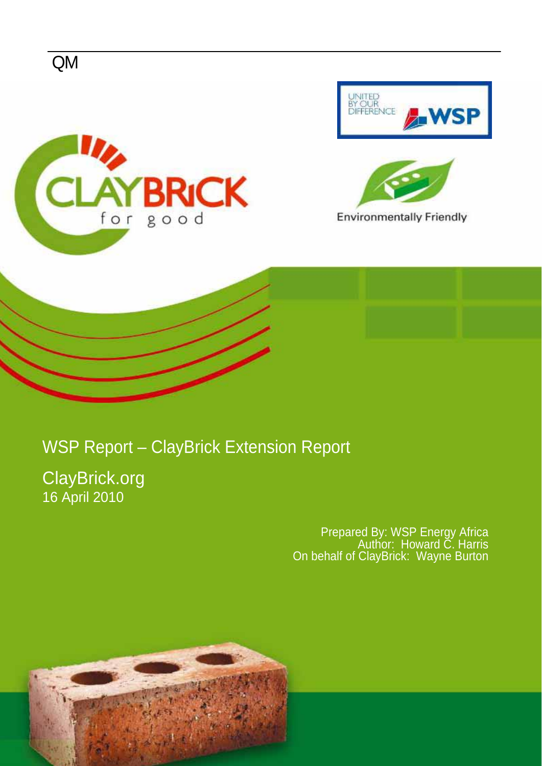

## WSP Report – ClayBrick Extension Report

ClayBrick.org 16 April 2010

> Prepared By: WSP Energy Africa Author: Howard C. Harris On behalf of ClayBrick: Wayne Burton

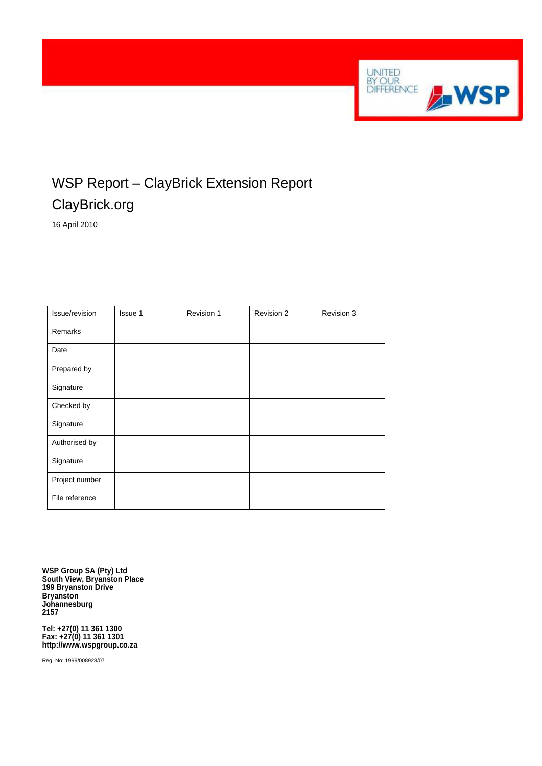

### WSP Report – ClayBrick Extension Report ClayBrick.org

16 April 2010

| Issue/revision | Issue 1 | Revision 1 | Revision 2 | Revision 3 |
|----------------|---------|------------|------------|------------|
| Remarks        |         |            |            |            |
| Date           |         |            |            |            |
| Prepared by    |         |            |            |            |
| Signature      |         |            |            |            |
| Checked by     |         |            |            |            |
| Signature      |         |            |            |            |
| Authorised by  |         |            |            |            |
| Signature      |         |            |            |            |
| Project number |         |            |            |            |
| File reference |         |            |            |            |

**WSP Group SA (Pty) Ltd South View, Bryanston Place 199 Bryanston Drive Bryanston Johannesburg 2157** 

**Tel: +27(0) 11 361 1300 Fax: +27(0) 11 361 1301 http://www.wspgroup.co.za** 

Reg. No: 1999/008928/07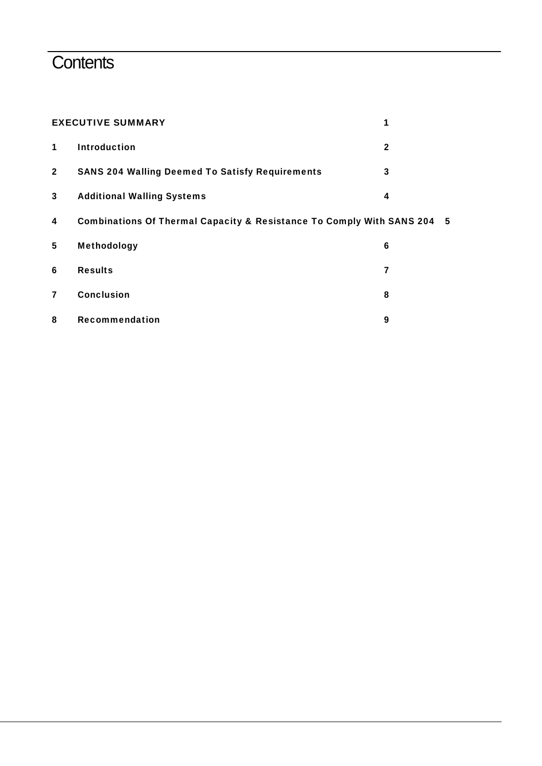## **Contents**

| <b>EXECUTIVE SUMMARY</b> | 1                                                                       |              |  |
|--------------------------|-------------------------------------------------------------------------|--------------|--|
| 1                        | <b>Introduction</b>                                                     | $\mathbf{2}$ |  |
| $\overline{2}$           | <b>SANS 204 Walling Deemed To Satisfy Requirements</b>                  | 3            |  |
| 3                        | <b>Additional Walling Systems</b>                                       | 4            |  |
| 4                        | Combinations Of Thermal Capacity & Resistance To Comply With SANS 204 5 |              |  |
| 5                        | <b>Methodology</b>                                                      | 6            |  |
| 6                        | <b>Results</b>                                                          | 7            |  |
| 7                        | <b>Conclusion</b>                                                       | 8            |  |
| 8                        | Recommendation                                                          | 9            |  |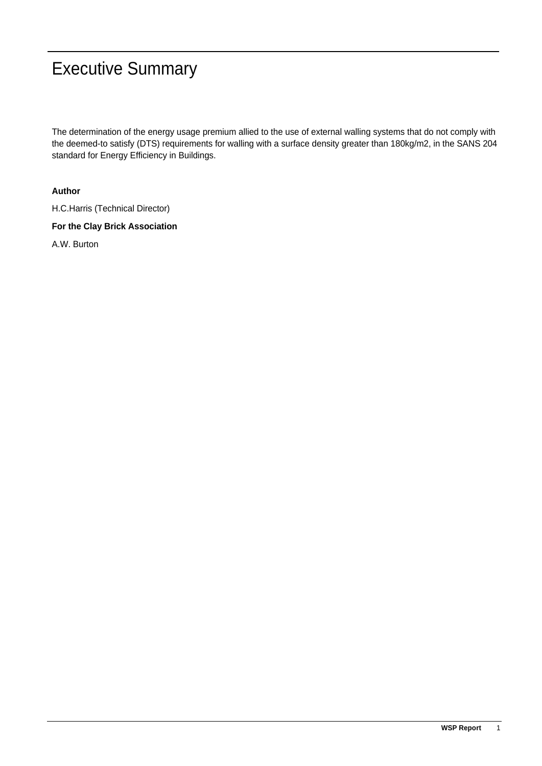## Executive Summary

The determination of the energy usage premium allied to the use of external walling systems that do not comply with the deemed-to satisfy (DTS) requirements for walling with a surface density greater than 180kg/m2, in the SANS 204 standard for Energy Efficiency in Buildings.

### **Author**

H.C.Harris (Technical Director)

**For the Clay Brick Association** 

A.W. Burton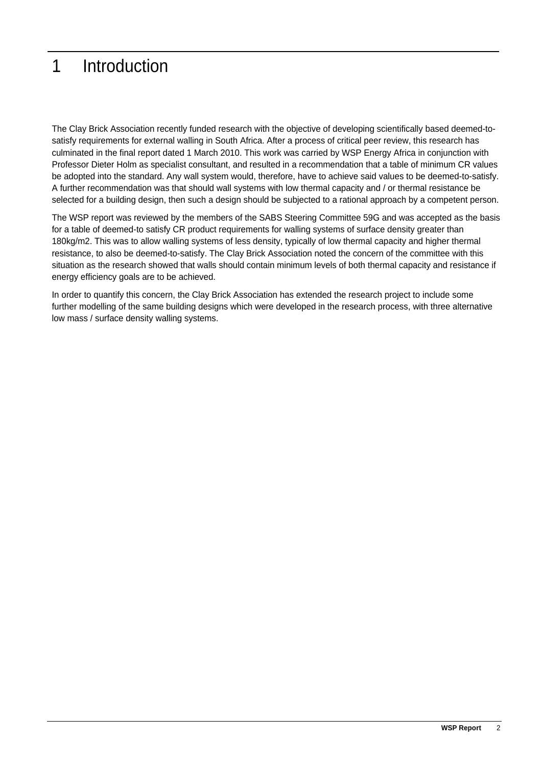## 1 Introduction

The Clay Brick Association recently funded research with the objective of developing scientifically based deemed-tosatisfy requirements for external walling in South Africa. After a process of critical peer review, this research has culminated in the final report dated 1 March 2010. This work was carried by WSP Energy Africa in conjunction with Professor Dieter Holm as specialist consultant, and resulted in a recommendation that a table of minimum CR values be adopted into the standard. Any wall system would, therefore, have to achieve said values to be deemed-to-satisfy. A further recommendation was that should wall systems with low thermal capacity and / or thermal resistance be selected for a building design, then such a design should be subjected to a rational approach by a competent person.

The WSP report was reviewed by the members of the SABS Steering Committee 59G and was accepted as the basis for a table of deemed-to satisfy CR product requirements for walling systems of surface density greater than 180kg/m2. This was to allow walling systems of less density, typically of low thermal capacity and higher thermal resistance, to also be deemed-to-satisfy. The Clay Brick Association noted the concern of the committee with this situation as the research showed that walls should contain minimum levels of both thermal capacity and resistance if energy efficiency goals are to be achieved.

In order to quantify this concern, the Clay Brick Association has extended the research project to include some further modelling of the same building designs which were developed in the research process, with three alternative low mass / surface density walling systems.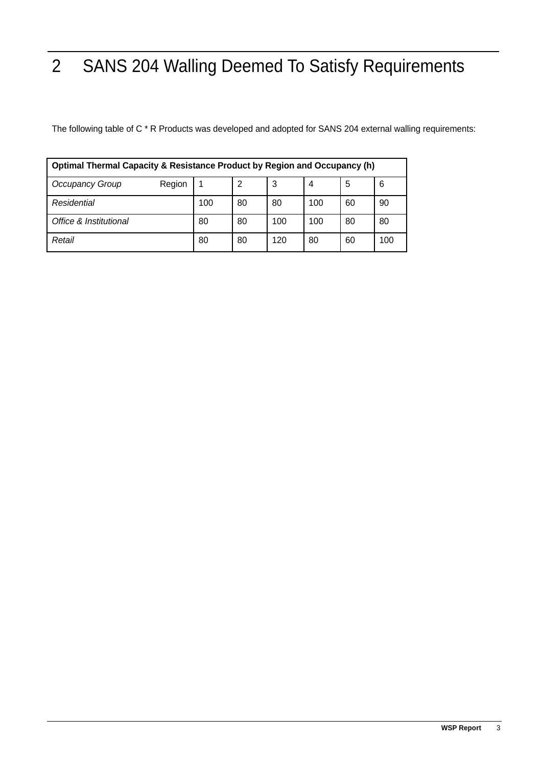# 2 SANS 204 Walling Deemed To Satisfy Requirements

The following table of C \* R Products was developed and adopted for SANS 204 external walling requirements:

| Optimal Thermal Capacity & Resistance Product by Region and Occupancy (h) |        |     |    |     |     |    |     |
|---------------------------------------------------------------------------|--------|-----|----|-----|-----|----|-----|
| Occupancy Group                                                           | Region |     | 2  | 3   | 4   | 5  | 6   |
| Residential                                                               |        | 100 | 80 | 80  | 100 | 60 | 90  |
| Office & Institutional                                                    |        | 80  | 80 | 100 | 100 | 80 | 80  |
| Retail                                                                    |        | 80  | 80 | 120 | 80  | 60 | 100 |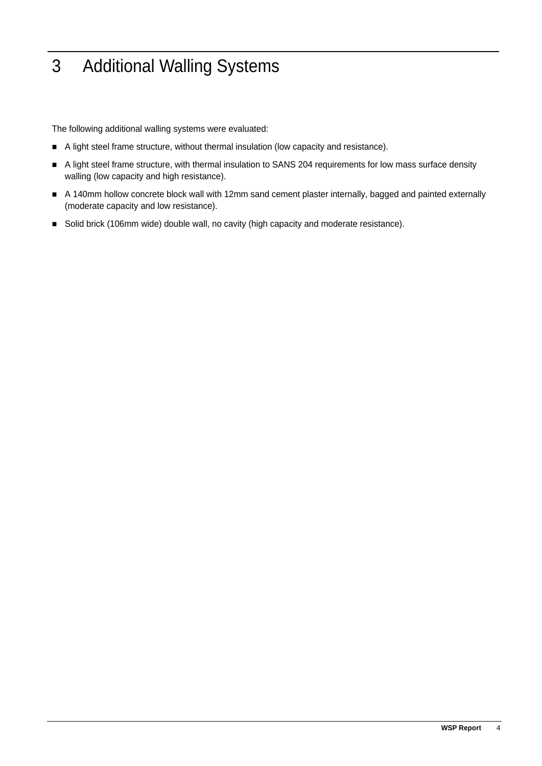## 3 Additional Walling Systems

The following additional walling systems were evaluated:

- A light steel frame structure, without thermal insulation (low capacity and resistance).
- A light steel frame structure, with thermal insulation to SANS 204 requirements for low mass surface density walling (low capacity and high resistance).
- A 140mm hollow concrete block wall with 12mm sand cement plaster internally, bagged and painted externally (moderate capacity and low resistance).
- Solid brick (106mm wide) double wall, no cavity (high capacity and moderate resistance).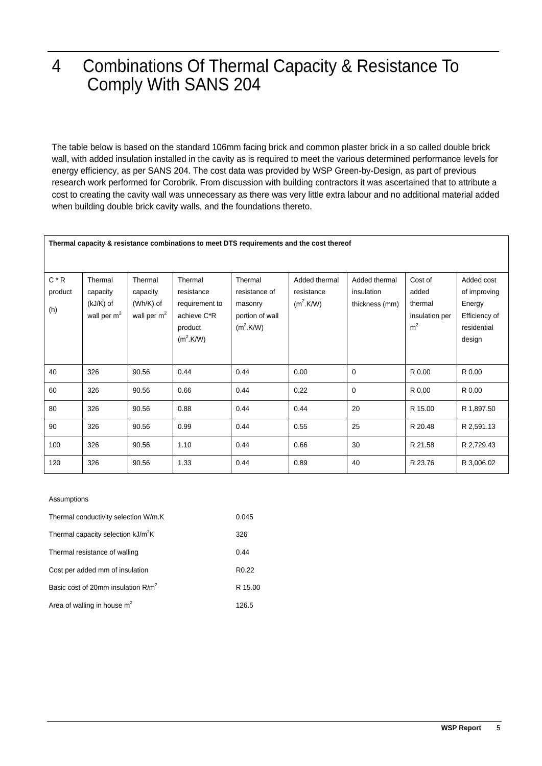## 4 Combinations Of Thermal Capacity & Resistance To Comply With SANS 204

The table below is based on the standard 106mm facing brick and common plaster brick in a so called double brick wall, with added insulation installed in the cavity as is required to meet the various determined performance levels for energy efficiency, as per SANS 204. The cost data was provided by WSP Green-by-Design, as part of previous research work performed for Corobrik. From discussion with building contractors it was ascertained that to attribute a cost to creating the cavity wall was unnecessary as there was very little extra labour and no additional material added when building double brick cavity walls, and the foundations thereto.

#### **Thermal capacity & resistance combinations to meet DTS requirements and the cost thereof**

| $C * R$ | Thermal       | Thermal       | Thermal               | Thermal         | Added thermal         | Added thermal  | Cost of        | Added cost    |
|---------|---------------|---------------|-----------------------|-----------------|-----------------------|----------------|----------------|---------------|
| product | capacity      | capacity      | resistance            | resistance of   | resistance            | insulation     | added          | of improving  |
| (h)     | (kJ/K) of     | $(Wh/K)$ of   | requirement to        | masonry         | (m <sup>2</sup> .K/W) | thickness (mm) | thermal        | Energy        |
|         | wall per $m2$ | wall per $m2$ | achieve C*R           | portion of wall |                       |                | insulation per | Efficiency of |
|         |               |               | product               | $(m^2.K/W)$     |                       |                | m <sup>2</sup> | residential   |
|         |               |               | (m <sup>2</sup> .K/W) |                 |                       |                |                | design        |
|         |               |               |                       |                 |                       |                |                |               |
| 40      | 326           | 90.56         | 0.44                  | 0.44            | 0.00                  | $\mathbf 0$    | R 0.00         | R 0.00        |
| 60      | 326           | 90.56         | 0.66                  | 0.44            | 0.22                  | $\Omega$       | R 0.00         | R 0.00        |
| 80      | 326           | 90.56         | 0.88                  | 0.44            | 0.44                  | 20             | R 15.00        | R 1,897.50    |
| 90      | 326           | 90.56         | 0.99                  | 0.44            | 0.55                  | 25             | R 20.48        | R 2,591.13    |
| 100     | 326           | 90.56         | 1.10                  | 0.44            | 0.66                  | 30             | R 21.58        | R 2,729.43    |
| 120     | 326           | 90.56         | 1.33                  | 0.44            | 0.89                  | 40             | R 23.76        | R 3,006.02    |

#### Assumptions

| Thermal conductivity selection W/m.K           | 0.045             |
|------------------------------------------------|-------------------|
| Thermal capacity selection kJ/m <sup>2</sup> K | 326               |
| Thermal resistance of walling                  | 0.44              |
| Cost per added mm of insulation                | R <sub>0.22</sub> |
| Basic cost of 20mm insulation $R/m^2$          | R 15.00           |
| Area of walling in house $m2$                  | 126.5             |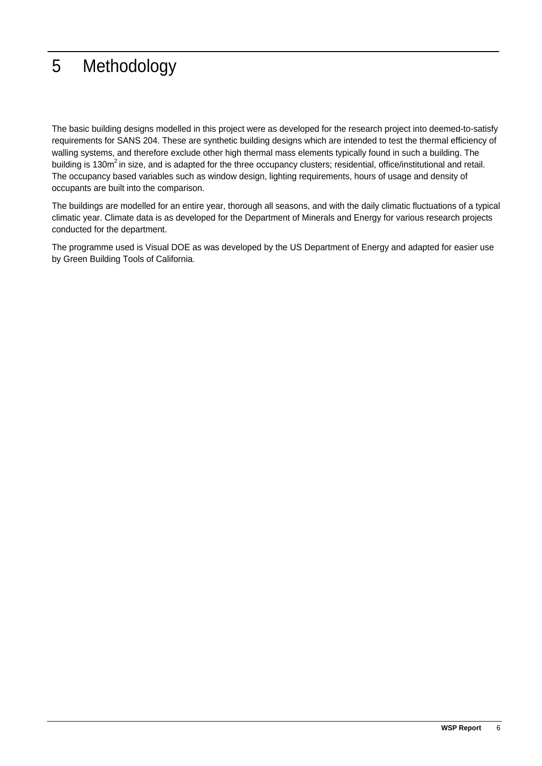## 5 Methodology

The basic building designs modelled in this project were as developed for the research project into deemed-to-satisfy requirements for SANS 204. These are synthetic building designs which are intended to test the thermal efficiency of walling systems, and therefore exclude other high thermal mass elements typically found in such a building. The building is 130m<sup>2</sup> in size, and is adapted for the three occupancy clusters; residential, office/institutional and retail. The occupancy based variables such as window design, lighting requirements, hours of usage and density of occupants are built into the comparison.

The buildings are modelled for an entire year, thorough all seasons, and with the daily climatic fluctuations of a typical climatic year. Climate data is as developed for the Department of Minerals and Energy for various research projects conducted for the department.

The programme used is Visual DOE as was developed by the US Department of Energy and adapted for easier use by Green Building Tools of California.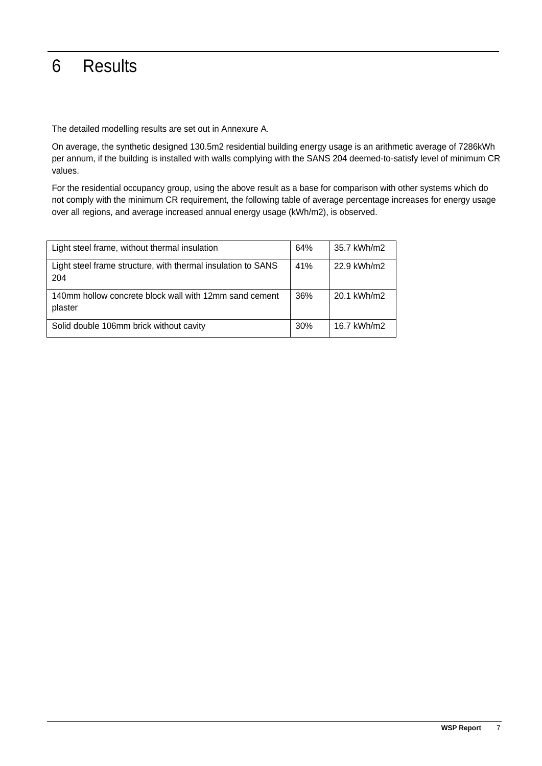## 6 Results

The detailed modelling results are set out in Annexure A.

On average, the synthetic designed 130.5m2 residential building energy usage is an arithmetic average of 7286kWh per annum, if the building is installed with walls complying with the SANS 204 deemed-to-satisfy level of minimum CR values.

For the residential occupancy group, using the above result as a base for comparison with other systems which do not comply with the minimum CR requirement, the following table of average percentage increases for energy usage over all regions, and average increased annual energy usage (kWh/m2), is observed.

| Light steel frame, without thermal insulation                       | 64% | 35.7 kWh/m2 |
|---------------------------------------------------------------------|-----|-------------|
| Light steel frame structure, with thermal insulation to SANS<br>204 | 41% | 22.9 kWh/m2 |
| 140mm hollow concrete block wall with 12mm sand cement<br>plaster   | 36% | 20.1 kWh/m2 |
| Solid double 106mm brick without cavity                             | 30% | 16.7 kWh/m2 |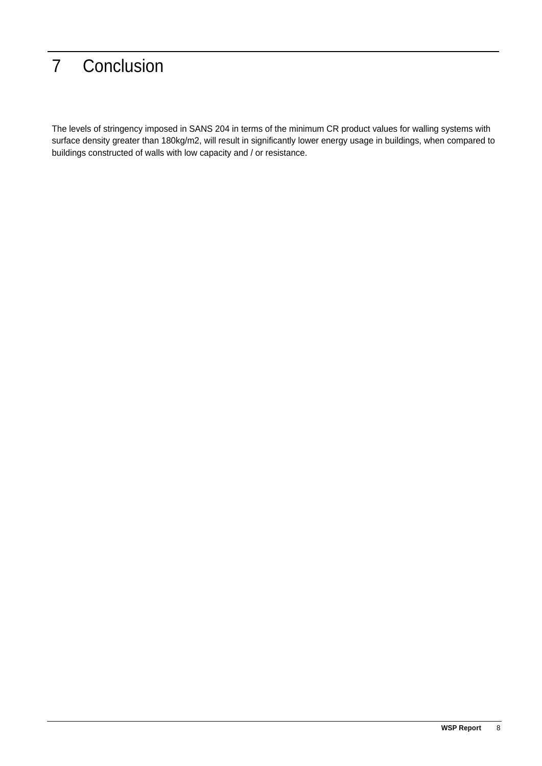## 7 Conclusion

The levels of stringency imposed in SANS 204 in terms of the minimum CR product values for walling systems with surface density greater than 180kg/m2, will result in significantly lower energy usage in buildings, when compared to buildings constructed of walls with low capacity and / or resistance.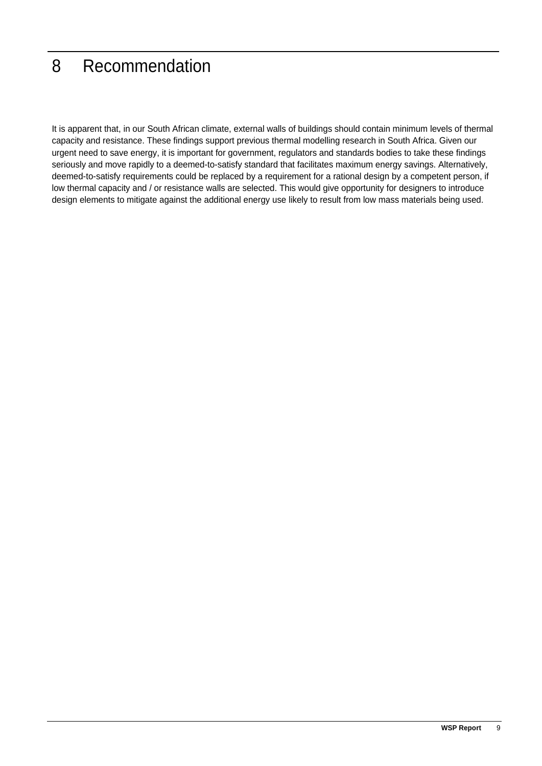## 8 Recommendation

It is apparent that, in our South African climate, external walls of buildings should contain minimum levels of thermal capacity and resistance. These findings support previous thermal modelling research in South Africa. Given our urgent need to save energy, it is important for government, regulators and standards bodies to take these findings seriously and move rapidly to a deemed-to-satisfy standard that facilitates maximum energy savings. Alternatively, deemed-to-satisfy requirements could be replaced by a requirement for a rational design by a competent person, if low thermal capacity and / or resistance walls are selected. This would give opportunity for designers to introduce design elements to mitigate against the additional energy use likely to result from low mass materials being used.